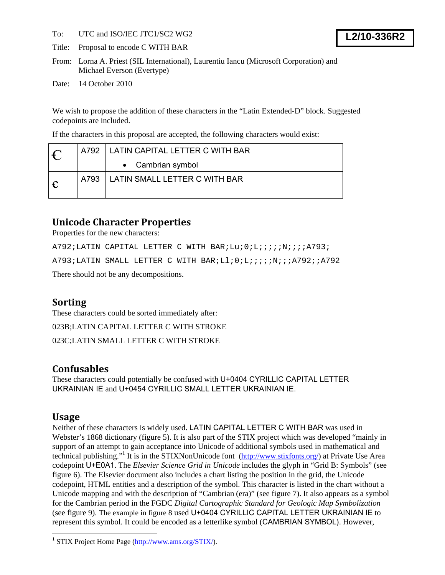To: UTC and ISO/IEC JTC1/SC2 WG2

Title: Proposal to encode C WITH BAR

From: Lorna A. Priest (SIL International), Laurentiu Iancu (Microsoft Corporation) and Michael Everson (Evertype)

Date: 14 October 2010

We wish to propose the addition of these characters in the "Latin Extended-D" block. Suggested codepoints are included.

If the characters in this proposal are accepted, the following characters would exist:

|            | A792 | LATIN CAPITAL LETTER C WITH BAR |
|------------|------|---------------------------------|
|            |      | • Cambrian symbol               |
| $\epsilon$ | A793 | LATIN SMALL LETTER C WITH BAR   |

# **Unicode Character Properties**

Properties for the new characters:

A792;LATIN CAPITAL LETTER C WITH BAR;Lu;0;L;;;;;N;;;;A793; A793;LATIN SMALL LETTER C WITH BAR;Ll;0;L;;;;;N;;;A792;;A792

There should not be any decompositions.

## **Sorting**

These characters could be sorted immediately after: 023B;LATIN CAPITAL LETTER C WITH STROKE 023C;LATIN SMALL LETTER C WITH STROKE

## **Confusables**

These characters could potentially be confused with U+0404 CYRILLIC CAPITAL LETTER UKRAINIAN IE and U+0454 CYRILLIC SMALL LETTER UKRAINIAN IE.

## **Usage**

1

Neither of these characters is widely used. LATIN CAPITAL LETTER C WITH BAR was used in Webster's 1868 dictionary (figure 5). It is also part of the STIX project which was developed "mainly in support of an attempt to gain acceptance into Unicode of additional symbols used in mathematical and technical publishing."<sup>1</sup> It is in the STIXNonUnicode font (http://www.stixfonts.org/) at Private Use Area codepoint U+E0A1. The *Elsevier Science Grid in Unicode* includes the glyph in "Grid B: Symbols" (see figure 6). The Elsevier document also includes a chart listing the position in the grid, the Unicode codepoint, HTML entities and a description of the symbol. This character is listed in the chart without a Unicode mapping and with the description of "Cambrian (era)" (see figure 7). It also appears as a symbol for the Cambrian period in the FGDC *Digital Cartographic Standard for Geologic Map Symbolization* (see figure 9). The example in figure 8 used U+0404 CYRILLIC CAPITAL LETTER UKRAINIAN IE to represent this symbol. It could be encoded as a letterlike symbol (CAMBRIAN SYMBOL). However,

<sup>&</sup>lt;sup>1</sup> STIX Project Home Page (http://www.ams.org/STIX/).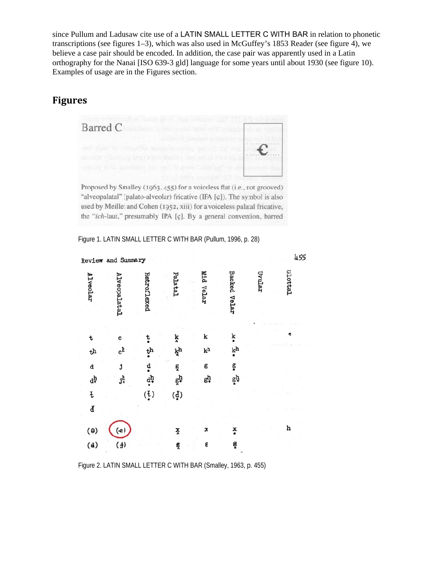since Pullum and Ladusaw cite use of a LATIN SMALL LETTER C WITH BAR in relation to phonetic transcriptions (see figures 1–3), which was also used in McGuffey's 1853 Reader (see figure 4), we believe a case pair should be encoded. In addition, the case pair was apparently used in a Latin orthography for the Nanai [ISO 639-3 gld] language for some years until about 1930 (see figure 10). Examples of usage are in the Figures section.

## **Figures s**



Proposed by Smalley (1963, 455) for a voiceless flat (i.e., not grooved) "alveopalatal" (palato-alveolar) fricative (IPA [ç]). The symbol is also used by Meillet and Cohen (1952, xiii) for a voiceless palatal fricative, the "ich-laut," presumably IPA [ç]. By a general convention, barred

|                 | Review and Summary                       |                        |                            |           |                     |        | 455     |
|-----------------|------------------------------------------|------------------------|----------------------------|-----------|---------------------|--------|---------|
| <b>Alveolar</b> | Alveopalatal                             | Retroflexed            | Palatal                    | Mid Velar | <b>Backed Velar</b> | Uvular | Glottal |
| t               | c                                        | ţ                      | ķ                          | k         | ķ                   |        |         |
| $t^{\rm h}$     | $c^h$                                    | ţh                     | ķh                         | kh        | k <sup>h</sup>      |        |         |
| d               | j                                        | ₫                      | ğ                          | g         | g                   |        |         |
| dļ              | jķ                                       | $\dot{q}^{\bf h}$      | gh                         | gh        | $g^h$               |        |         |
| ť               |                                          | $(\frac{1}{\epsilon})$ | $(\boldsymbol{\check{q}})$ |           |                     |        |         |
| ď               |                                          |                        |                            |           |                     |        |         |
| $(\theta)$      | $\left( \textcolor{red}{\bullet}\right)$ |                        | ž                          | x         | ×                   |        | h       |
| (d)             | $(\frac{1}{2})$                          |                        | g                          | g         | ę                   |        |         |
|                 |                                          |                        |                            |           |                     |        |         |

Figure 1. LATIN SMALL LETTER C WITH BAR (Pullum, 1996, p. 28)

Figure 2. LATIN SMALL LETTER C WITH BAR (Smalley, 1963, p. 455)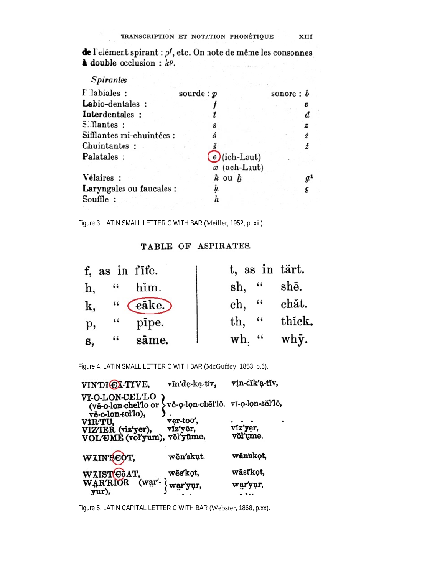de l'elément spirant : pl, etc. On note de même les consonnes  $\triangle$  double occlusion :  $kP$ .

| <b>Spirantes</b>          |                                      |                          |   |
|---------------------------|--------------------------------------|--------------------------|---|
| Elabiales:                | source: p                            | sonore: $\boldsymbol{b}$ |   |
| Labio-dentales:           |                                      |                          | v |
| Interdentales:            |                                      |                          |   |
| $S$ . Mantes :            |                                      |                          | z |
| Sifflantes mi-chuintées : |                                      |                          |   |
| Chuintantes:              |                                      |                          |   |
| Palatales:                | $\odot$ (ich-Laut)<br>$x$ (ach-Laut) |                          |   |
| Vélaires :                | $\hbar$ ou $h$                       |                          |   |
| Laryngales ou faucales :  | h                                    |                          |   |
| Souffle:                  |                                      |                          |   |

Figure 3. LATIN SMALL LETTER C WITH BAR (Meillet, 1952, p. xiii).

#### TABLE OF ASPIRATES.

|               | f, as in fife.               | t, as in tärt. |               |
|---------------|------------------------------|----------------|---------------|
| h,            | him.<br>66                   | $\sh$ , "      | $sh\bar{e}$ . |
| k,            | " $\left(\text{eake}\right)$ | $ch,$ "        | chăt.         |
| р,            | pipe.<br>$\ddot{\bullet}$    | 66<br>th,      | thick.        |
| $\mathbf{s},$ | sāme.<br>66                  | $wh,$ "        | why.          |

Figure 4. LATIN SMALL LETTER C WITH BAR (McGuffey, 1853, p.6).

| VINDICA-TIVE,                                                                                                      | vin'de-ka-tiv, | vin-dik'a-tiv, |
|--------------------------------------------------------------------------------------------------------------------|----------------|----------------|
| <b>VI-O-LON-CEL'LO</b><br>(vē-o-lon-chel'lo or $\overline{v}$ vē-o-lon-chel'lō, vī-o-lon-sĕl'lō, vē-o-lon-sel'lo), |                |                |
| VIRTU,                                                                                                             | ver-too',      | vĭz'yer,       |
| VIZTER (viz'yer),<br>VOLUME (vol'yum), võl'yüme,                                                                   | viz'yēr,       | vŏl'ume,       |
| WAIN'SOOT,                                                                                                         | wĕn'skut,      | wān'skot,      |
| WAISTGGAT,<br>WARRIOR (                                                                                            | wĕs'kot,       | wāstkot,       |
| (war' },<br>vur).                                                                                                  | war'yur,       | war'yur,       |
|                                                                                                                    |                |                |

Figure 5. LATIN CAPITAL LETTER C WITH BAR (Webster, 1868, p.xx).

 $\bar{z}$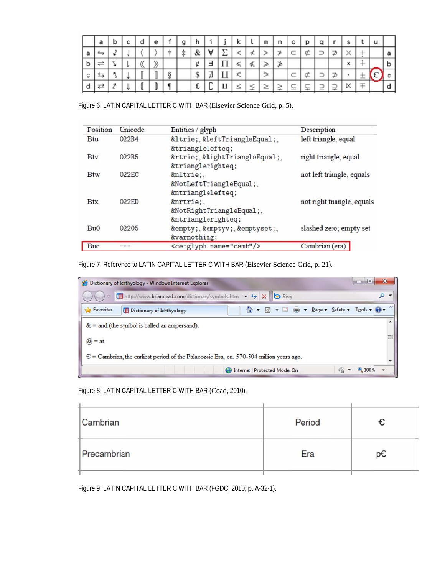|   |  |  | e | g |   |   |   | N               | $\mathsf{m}$ | n | $\circ$ | D | α |  |  |  |
|---|--|--|---|---|---|---|---|-----------------|--------------|---|---------|---|---|--|--|--|
| a |  |  |   | İ | & |   |   |                 |              |   | $\in$   |   |   |  |  |  |
| D |  |  |   |   |   |   |   | $\leq$   $\leq$ |              |   |         |   |   |  |  |  |
| c |  |  |   |   |   | 丑 |   | €               | ☜            |   |         |   |   |  |  |  |
| a |  |  |   |   |   | ◡ | П |                 | ⊂            |   |         |   |   |  |  |  |

Figure 6. LATIN CAPITAL LETTER C WITH BAR (Elsevier Science Grid, p. 5).

| Position   | Unicode | Entities / glyph                  | Description                |
|------------|---------|-----------------------------------|----------------------------|
| <b>Btu</b> | 022B4   | ⊴, ⊴,<br>⊴                        | left triangle, equal       |
| <b>Btv</b> | 022B5   | ⊵, ⊵,<br>⊵                        | right triangle, equal      |
| <b>Btw</b> | 022EC   | ⋬.<br>⋬,<br>⋬                     | not left triangle, equals  |
| <b>Btx</b> | 022ED   | ⋭,<br>⋭,<br>⋭                     | not right triangle, equals |
| Bu0        | 02205   | ∅, ∅, ∅,<br>∅                     | slashed zero; empty set    |
| <b>Buc</b> |         | <ce:glyph name="camb"></ce:glyph> | Cambrian (era)             |

Figure 7. Reference to LATIN CAPITAL LETTER C WITH BAR (Elsevier Science Grid, p. 21).

|                                                                                                  | Dictionary of Ichthyology - Windows Internet Explorer |                                                                        |                                                         | $\Box$ |  |  |
|--------------------------------------------------------------------------------------------------|-------------------------------------------------------|------------------------------------------------------------------------|---------------------------------------------------------|--------|--|--|
|                                                                                                  | E http://www.briancoad.com/dictionary/symbols.htm     | $x$ $\overline{b}$ Bing<br>$+$<br>$\blacktriangledown$                 |                                                         | Ω      |  |  |
| Favorites                                                                                        | <b>Dictionary of Ichthyology</b>                      | $\mathbf{v}$ $\Box$ $\mathbf{v}$ $\mathbf{P}$ age $\mathbf{v}$<br>$-5$ | $\sqrt{2}$ afety $\sqrt{2}$ Tools $\sqrt{2}$ $\sqrt{2}$ |        |  |  |
| $&$ = and (the symbol is called an ampersand).                                                   |                                                       |                                                                        |                                                         |        |  |  |
| $\omega = at$ .                                                                                  |                                                       |                                                                        |                                                         | TE)    |  |  |
| $\epsilon$ = Cambrian, the earliest period of the Palaeozoic Era, ca. 570-504 million years ago. |                                                       |                                                                        |                                                         |        |  |  |
|                                                                                                  |                                                       | Internet   Protected Mode: On                                          | 4100%                                                   |        |  |  |

Figure 8. LATIN CAPITAL LETTER C WITH BAR (Coad, 2010).

| Cambrian    | Period |    |  |
|-------------|--------|----|--|
| Precambrian | Era    | pC |  |
|             |        |    |  |

Figure 9. LATIN CAPITAL LETTER C WITH BAR (FGDC, 2010, p. A-32-1).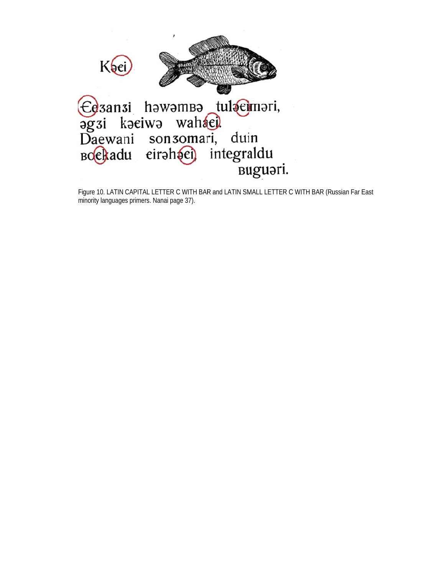

Figure 10. LATIN CAPITAL LETTER C WITH BAR and LATIN SMALL LETTER C WITH BAR (Russian Far East minority languages primers. Nanai page 37).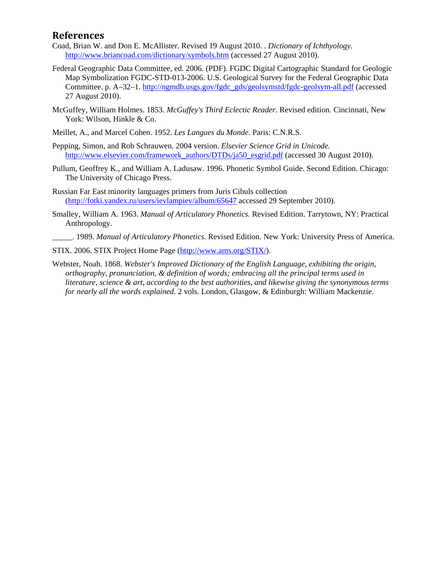#### **References**

- Coad, Brian W. and Don E. McAllister. Revised 19 August 2010. . *Dictionary of Ichthyology.* http://www.briancoad.com/dictionary/symbols.htm (accessed 27 August 2010).
- Federal Geographic Data Committee, ed. 2006. (PDF). FGDC Digital Cartographic Standard for Geologic Map Symbolization FGDC-STD-013-2006. U.S. Geological Survey for the Federal Geographic Data Committee. p. A–32–1. http://ngmdb.usgs.gov/fgdc\_gds/geolsymstd/fgdc-geolsym-all.pdf (accessed 27 August 2010).
- McGuffey, William Holmes. 1853. *McGuffey's Third Eclectic Reader*. Revised edition. Cincinnati, New York: Wilson, Hinkle & Co.
- Meillet, A., and Marcel Cohen. 1952. *Les Langues du Monde*. Paris: C.N.R.S.
- Pepping, Simon, and Rob Schrauwen. 2004 version. *Elsevier Science Grid in Unicode.* http://www.elsevier.com/framework\_authors/DTDs/ja50\_esgrid.pdf (accessed 30 August 2010).
- Pullum, Geoffrey K., and William A. Ladusaw. 1996. Phonetic Symbol Guide. Second Edition. Chicago: The University of Chicago Press.
- Russian Far East minority languages primers from Juris Cibuls collection (http://fotki.yandex.ru/users/ievlampiev/album/65647 accessed 29 September 2010).
- Smalley, William A. 1963. *Manual of Articulatory Phonetics*. Revised Edition. Tarrytown, NY: Practical Anthropology.
	- \_\_\_\_\_. 1989. *Manual of Articulatory Phonetics*. Revised Edition. New York: University Press of America.

STIX. 2006. STIX Project Home Page (http://www.ams.org/STIX/).

Webster, Noah. 1868. *Webster's Improved Dictionary of the English Language, exhibiting the origin, orthography, pronunciation, & definition of words; embracing all the principal terms used in literature, science & art, according to the best authorities, and likewise giving the synonymous terms for nearly all the words explained.* 2 vols. London, Glasgow, & Edinburgh: William Mackenzie.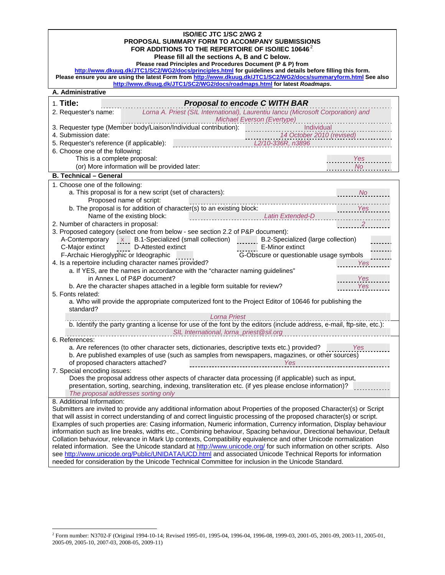| ISO/IEC JTC 1/SC 2/WG 2                                                                                                                                                                                           |                                         |  |  |  |  |  |
|-------------------------------------------------------------------------------------------------------------------------------------------------------------------------------------------------------------------|-----------------------------------------|--|--|--|--|--|
| PROPOSAL SUMMARY FORM TO ACCOMPANY SUBMISSIONS                                                                                                                                                                    |                                         |  |  |  |  |  |
| FOR ADDITIONS TO THE REPERTOIRE OF ISO/IEC 10646. <sup>2</sup>                                                                                                                                                    |                                         |  |  |  |  |  |
| Please fill all the sections A, B and C below.<br>Please read Principles and Procedures Document (P & P) from                                                                                                     |                                         |  |  |  |  |  |
| http://www.dkuug.dk/JTC1/SC2/WG2/docs/principles.html for guidelines and details before filling this form.                                                                                                        |                                         |  |  |  |  |  |
| Please ensure you are using the latest Form from http://www.dkuug.dk/JTC1/SC2/WG2/docs/summaryform.html See also                                                                                                  |                                         |  |  |  |  |  |
| http://www.dkuug.dk/JTC1/SC2/WG2/docs/roadmaps.html for latest Roadmaps.                                                                                                                                          |                                         |  |  |  |  |  |
| A. Administrative                                                                                                                                                                                                 |                                         |  |  |  |  |  |
| $1.$ Title:<br><b>Proposal to encode C WITH BAR</b>                                                                                                                                                               |                                         |  |  |  |  |  |
| Lorna A. Priest (SIL International), Laurentiu Iancu (Microsoft Corporation) and<br>2. Requester's name:                                                                                                          |                                         |  |  |  |  |  |
| Michael Everson (Evertype)                                                                                                                                                                                        |                                         |  |  |  |  |  |
| 3. Requester type (Member body/Liaison/Individual contribution):<br>4. Submission date:                                                                                                                           | Individual<br>14 October 2010 (revised) |  |  |  |  |  |
| 5. Requester's reference (if applicable):<br>L2/10-336R, n3896                                                                                                                                                    |                                         |  |  |  |  |  |
| 6. Choose one of the following:                                                                                                                                                                                   |                                         |  |  |  |  |  |
| This is a complete proposal:                                                                                                                                                                                      | Yes                                     |  |  |  |  |  |
| (or) More information will be provided later:                                                                                                                                                                     | <b>No</b>                               |  |  |  |  |  |
| <b>B. Technical - General</b>                                                                                                                                                                                     |                                         |  |  |  |  |  |
| 1. Choose one of the following:                                                                                                                                                                                   |                                         |  |  |  |  |  |
| a. This proposal is for a new script (set of characters):                                                                                                                                                         | <b>No</b>                               |  |  |  |  |  |
| Proposed name of script:                                                                                                                                                                                          |                                         |  |  |  |  |  |
| b. The proposal is for addition of character(s) to an existing block:                                                                                                                                             | Yes                                     |  |  |  |  |  |
| Name of the existing block:<br><b>Latin Extended-D</b><br>the contract of the contract of the                                                                                                                     |                                         |  |  |  |  |  |
| 2. Number of characters in proposal:                                                                                                                                                                              |                                         |  |  |  |  |  |
| 3. Proposed category (select one from below - see section 2.2 of P&P document):                                                                                                                                   |                                         |  |  |  |  |  |
| A-Contemporary $x$ B.1-Specialized (small collection)                                                                                                                                                             | B.2-Specialized (large collection)      |  |  |  |  |  |
| D-Attested extinct<br>E-Minor extinct<br>C-Major extinct                                                                                                                                                          |                                         |  |  |  |  |  |
| F-Archaic Hieroglyphic or Ideographic<br>G-Obscure or questionable usage symbols                                                                                                                                  |                                         |  |  |  |  |  |
| 4. Is a repertoire including character names provided?                                                                                                                                                            | Yes                                     |  |  |  |  |  |
| a. If YES, are the names in accordance with the "character naming guidelines"                                                                                                                                     |                                         |  |  |  |  |  |
| in Annex L of P&P document?                                                                                                                                                                                       | Yes                                     |  |  |  |  |  |
| b. Are the character shapes attached in a legible form suitable for review?<br>5. Fonts related:                                                                                                                  | Yes                                     |  |  |  |  |  |
| a. Who will provide the appropriate computerized font to the Project Editor of 10646 for publishing the                                                                                                           |                                         |  |  |  |  |  |
| standard?                                                                                                                                                                                                         |                                         |  |  |  |  |  |
| <b>Lorna Priest</b>                                                                                                                                                                                               |                                         |  |  |  |  |  |
| b. Identify the party granting a license for use of the font by the editors (include address, e-mail, ftp-site, etc.):                                                                                            |                                         |  |  |  |  |  |
| SIL International, lorna_priest@sil.org                                                                                                                                                                           |                                         |  |  |  |  |  |
| 6. References:                                                                                                                                                                                                    |                                         |  |  |  |  |  |
| a. Are references (to other character sets, dictionaries, descriptive texts etc.) provided?                                                                                                                       | Yes                                     |  |  |  |  |  |
| b. Are published examples of use (such as samples from newspapers, magazines, or other sources)                                                                                                                   |                                         |  |  |  |  |  |
| of proposed characters attached?<br>Yes                                                                                                                                                                           |                                         |  |  |  |  |  |
| 7. Special encoding issues:<br>Does the proposal address other aspects of character data processing (if applicable) such as input,                                                                                |                                         |  |  |  |  |  |
| presentation, sorting, searching, indexing, transliteration etc. (if yes please enclose information)?                                                                                                             |                                         |  |  |  |  |  |
| The proposal addresses sorting only                                                                                                                                                                               |                                         |  |  |  |  |  |
| 8. Additional Information:                                                                                                                                                                                        |                                         |  |  |  |  |  |
| Submitters are invited to provide any additional information about Properties of the proposed Character(s) or Script                                                                                              |                                         |  |  |  |  |  |
| that will assist in correct understanding of and correct linguistic processing of the proposed character(s) or script.                                                                                            |                                         |  |  |  |  |  |
| Examples of such properties are: Casing information, Numeric information, Currency information, Display behaviour                                                                                                 |                                         |  |  |  |  |  |
| information such as line breaks, widths etc., Combining behaviour, Spacing behaviour, Directional behaviour, Default                                                                                              |                                         |  |  |  |  |  |
| Collation behaviour, relevance in Mark Up contexts, Compatibility equivalence and other Unicode normalization                                                                                                     |                                         |  |  |  |  |  |
| related information. See the Unicode standard at http://www.unicode.org/ for such information on other scripts. Also                                                                                              |                                         |  |  |  |  |  |
| see http://www.unicode.org/Public/UNIDATA/UCD.html and associated Unicode Technical Reports for information<br>needed for consideration by the Unicode Technical Committee for inclusion in the Unicode Standard. |                                         |  |  |  |  |  |
|                                                                                                                                                                                                                   |                                         |  |  |  |  |  |

 TP 2 PT Form number: N3702-F (Original 1994-10-14; Revised 1995-01, 1995-04, 1996-04, 1996-08, 1999-03, 2001-05, 2001-09, 2003-11, 2005-01, 2005-09, 2005-10, 2007-03, 2008-05, 2009-11)